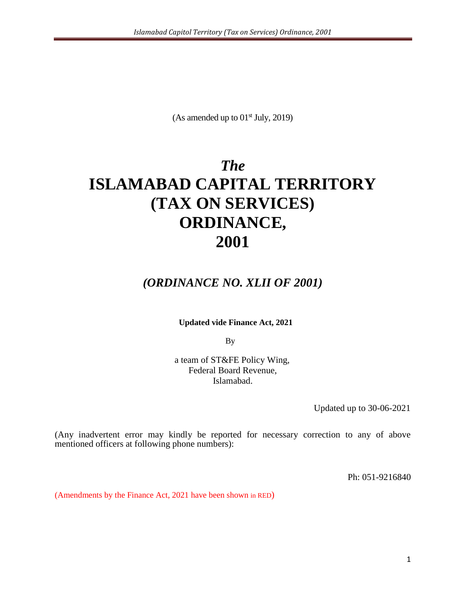(As amended up to  $01<sup>st</sup>$  July, 2019)

# *The* **ISLAMABAD CAPITAL TERRITORY (TAX ON SERVICES) ORDINANCE, 2001**

## *(ORDINANCE NO. XLII OF 2001)*

**Updated vide Finance Act, 2021**

By

a team of ST&FE Policy Wing, Federal Board Revenue, Islamabad.

Updated up to 30-06-2021

(Any inadvertent error may kindly be reported for necessary correction to any of above mentioned officers at following phone numbers):

Ph: 051-9216840

(Amendments by the Finance Act, 2021 have been shown in RED)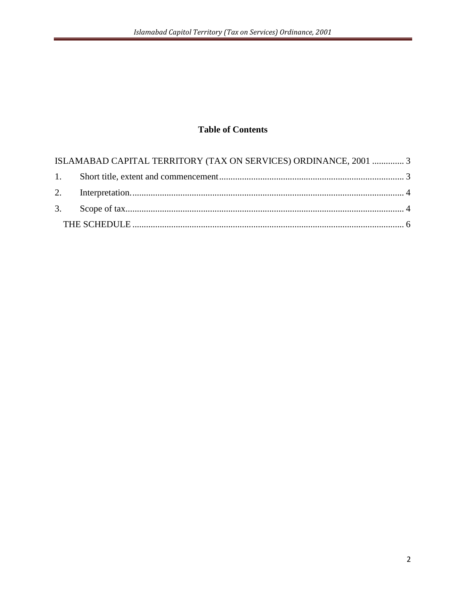### **Table of Contents**

| ISLAMABAD CAPITAL TERRITORY (TAX ON SERVICES) ORDINANCE, 2001  3 |  |
|------------------------------------------------------------------|--|
|                                                                  |  |
|                                                                  |  |
|                                                                  |  |
|                                                                  |  |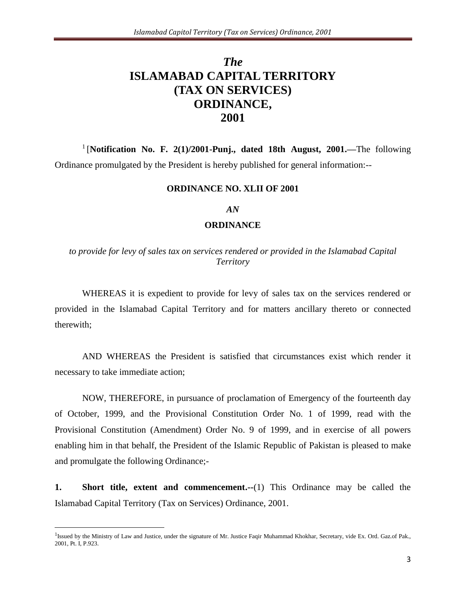# <span id="page-2-0"></span>*The*  **ISLAMABAD CAPITAL TERRITORY (TAX ON SERVICES) ORDINANCE, 2001**

<sup>1</sup> [Notification No. F. 2(1)/2001-Punj., dated 18th August, 2001.—The following Ordinance promulgated by the President is hereby published for general information:--

#### **ORDINANCE NO. XLII OF 2001**

#### *AN*

#### **ORDINANCE**

*to provide for levy of sales tax on services rendered or provided in the Islamabad Capital Territory*

WHEREAS it is expedient to provide for levy of sales tax on the services rendered or provided in the Islamabad Capital Territory and for matters ancillary thereto or connected therewith;

AND WHEREAS the President is satisfied that circumstances exist which render it necessary to take immediate action;

NOW, THEREFORE, in pursuance of proclamation of Emergency of the fourteenth day of October, 1999, and the Provisional Constitution Order No. 1 of 1999, read with the Provisional Constitution (Amendment) Order No. 9 of 1999, and in exercise of all powers enabling him in that behalf, the President of the Islamic Republic of Pakistan is pleased to make and promulgate the following Ordinance;-

<span id="page-2-1"></span>**1. Short title, extent and commencement.--**(1) This Ordinance may be called the Islamabad Capital Territory (Tax on Services) Ordinance, 2001.

 $\overline{a}$ 

<sup>&</sup>lt;sup>1</sup>Issued by the Ministry of Law and Justice, under the signature of Mr. Justice Faqir Muhammad Khokhar, Secretary, vide Ex. Ord. Gaz.of Pak., 2001, Pt. I, P.923.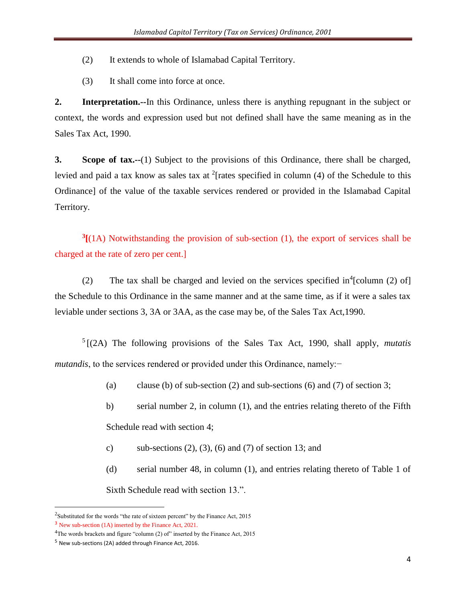- (2) It extends to whole of Islamabad Capital Territory.
- (3) It shall come into force at once.

<span id="page-3-0"></span>**2. Interpretation.--**In this Ordinance, unless there is anything repugnant in the subject or context, the words and expression used but not defined shall have the same meaning as in the Sales Tax Act, 1990.

<span id="page-3-1"></span>**3. Scope of tax.--**(1) Subject to the provisions of this Ordinance, there shall be charged, levied and paid a tax know as sales tax at <sup>2</sup>[rates specified in column (4) of the Schedule to this Ordinance] of the value of the taxable services rendered or provided in the Islamabad Capital Territory.

**3 [**(1A) Notwithstanding the provision of sub-section (1), the export of services shall be charged at the rate of zero per cent.]

(2) The tax shall be charged and levied on the services specified in $\textsuperscript{4}$  [column (2) of] the Schedule to this Ordinance in the same manner and at the same time, as if it were a sales tax leviable under sections 3, 3A or 3AA, as the case may be, of the Sales Tax Act,1990.

5 [(2A) The following provisions of the Sales Tax Act, 1990, shall apply, *mutatis mutandis*, to the services rendered or provided under this Ordinance, namely:−

- (a) clause (b) of sub-section (2) and sub-sections (6) and (7) of section 3;
- b) serial number 2, in column (1), and the entries relating thereto of the Fifth Schedule read with section 4;
- c) sub-sections  $(2)$ ,  $(3)$ ,  $(6)$  and  $(7)$  of section 13; and
- (d) serial number 48, in column (1), and entries relating thereto of Table 1 of Sixth Schedule read with section 13.".

 $\overline{\phantom{a}}$ 

<sup>&</sup>lt;sup>2</sup>Substituted for the words "the rate of sixteen percent" by the Finance Act, 2015

<sup>3</sup> New sub-section (1A) inserted by the Finance Act, 2021.

<sup>&</sup>lt;sup>4</sup>The words brackets and figure "column (2) of" inserted by the Finance Act, 2015

<sup>5</sup> New sub-sections (2A) added through Finance Act, 2016.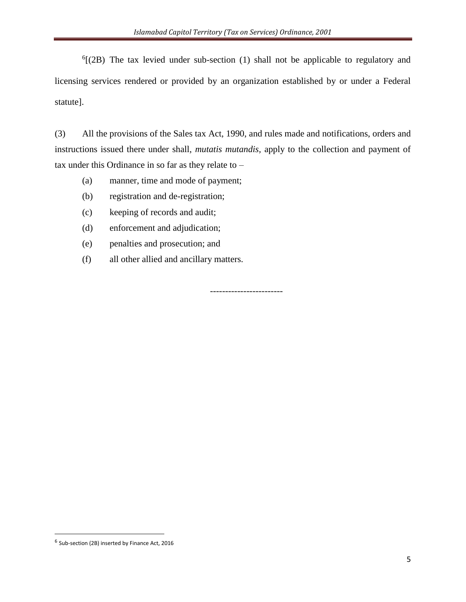${}^{6}$ [(2B) The tax levied under sub-section (1) shall not be applicable to regulatory and licensing services rendered or provided by an organization established by or under a Federal statute].

(3) All the provisions of the Sales tax Act, 1990, and rules made and notifications, orders and instructions issued there under shall, *mutatis mutandis,* apply to the collection and payment of tax under this Ordinance in so far as they relate to –

- (a) manner, time and mode of payment;
- (b) registration and de-registration;
- (c) keeping of records and audit;
- (d) enforcement and adjudication;
- (e) penalties and prosecution; and
- (f) all other allied and ancillary matters.

------------------------

 $\overline{\phantom{a}}$ 

<sup>&</sup>lt;sup>6</sup> Sub-section (2B) inserted by Finance Act, 2016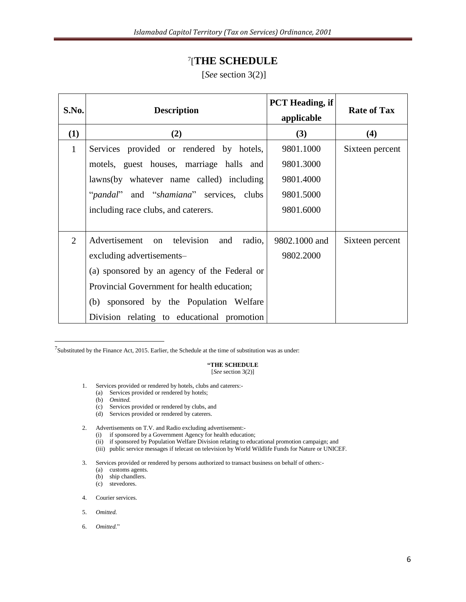### 7 [**THE SCHEDULE**

#### [*See* section 3(2)]

<span id="page-5-0"></span>

| S.No.        | <b>Description</b>                                        | <b>PCT</b> Heading, if<br>applicable | <b>Rate of Tax</b> |
|--------------|-----------------------------------------------------------|--------------------------------------|--------------------|
| (1)          | (2)                                                       | (3)                                  | (4)                |
| $\mathbf{1}$ | Services provided or rendered by hotels,                  | 9801.1000                            | Sixteen percent    |
|              | motels, guest houses, marriage halls and                  | 9801.3000                            |                    |
|              | lawns(by whatever name called) including                  | 9801.4000                            |                    |
|              | " <i>pandal</i> " and " <i>shamiana</i> " services, clubs | 9801.5000                            |                    |
|              | including race clubs, and caterers.                       | 9801.6000                            |                    |
|              |                                                           |                                      |                    |
| 2            | Advertisement on television<br>and<br>radio,              | 9802.1000 and                        | Sixteen percent    |
|              | excluding advertisements-                                 | 9802.2000                            |                    |
|              | (a) sponsored by an agency of the Federal or              |                                      |                    |
|              | Provincial Government for health education;               |                                      |                    |
|              | (b) sponsored by the Population Welfare                   |                                      |                    |
|              | Division relating to educational promotion                |                                      |                    |

<sup>7</sup>Substituted by the Finance Act, 2015. Earlier, the Schedule at the time of substitution was as under:

#### **"THE SCHEDULE** [*See* section 3(2)]

- 1. Services provided or rendered by hotels, clubs and caterers:-
	- (a) Services provided or rendered by hotels;
	- (b) *Omitted.*

 $\overline{\phantom{a}}$ 

- (c) Services provided or rendered by clubs, and
- (d) Services provided or rendered by caterers.
- 2. Advertisements on T.V. and Radio excluding advertisement:-
	- (i) if sponsored by a Government Agency for health education;
	- (ii) if sponsored by Population Welfare Division relating to educational promotion campaign; and
	- (iii) public service messages if telecast on television by World Wildlife Funds for Nature or UNICEF.

3. Services provided or rendered by persons authorized to transact business on behalf of others:-

- (a) customs agents.
- (b) ship chandlers.
- (c) stevedores.
- 4. Courier services.
- 5. *Omitted.*
- 6. *Omitted.*"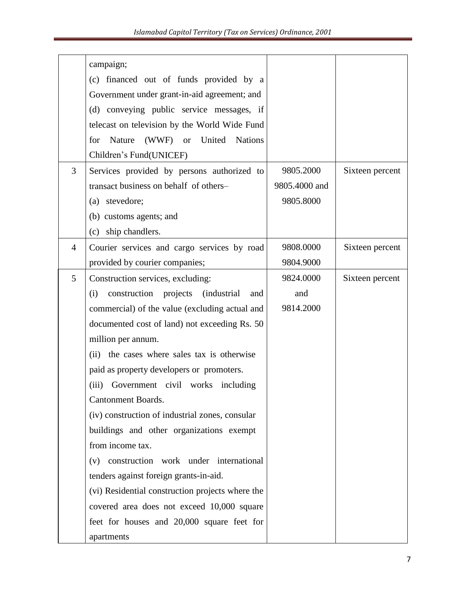|                | campaign;                                                       |               |                 |
|----------------|-----------------------------------------------------------------|---------------|-----------------|
|                | (c) financed out of funds provided by a                         |               |                 |
|                | Government under grant-in-aid agreement; and                    |               |                 |
|                | (d) conveying public service messages, if                       |               |                 |
|                | telecast on television by the World Wide Fund                   |               |                 |
|                | United<br>for<br>Nature<br>(WWF)<br><b>or</b><br><b>Nations</b> |               |                 |
|                | Children's Fund(UNICEF)                                         |               |                 |
| 3              | Services provided by persons authorized to                      | 9805.2000     | Sixteen percent |
|                | transact business on behalf of others-                          | 9805.4000 and |                 |
|                | (a) stevedore;                                                  | 9805.8000     |                 |
|                | (b) customs agents; and                                         |               |                 |
|                | (c) ship chandlers.                                             |               |                 |
| $\overline{4}$ | Courier services and cargo services by road                     | 9808.0000     | Sixteen percent |
|                | provided by courier companies;                                  | 9804.9000     |                 |
| 5              | Construction services, excluding:                               | 9824.0000     | Sixteen percent |
|                | <i>(industrial)</i><br>construction projects<br>(i)<br>and      | and           |                 |
|                | commercial) of the value (excluding actual and                  | 9814.2000     |                 |
|                | documented cost of land) not exceeding Rs. 50                   |               |                 |
|                | million per annum.                                              |               |                 |
|                | (ii) the cases where sales tax is otherwise                     |               |                 |
|                | paid as property developers or promoters.                       |               |                 |
|                | (iii)<br>Government civil works including                       |               |                 |
|                | <b>Cantonment Boards.</b>                                       |               |                 |
|                | (iv) construction of industrial zones, consular                 |               |                 |
|                | buildings and other organizations exempt                        |               |                 |
|                | from income tax.                                                |               |                 |
|                | construction work under international<br>(v)                    |               |                 |
|                | tenders against foreign grants-in-aid.                          |               |                 |
|                | (vi) Residential construction projects where the                |               |                 |
|                | covered area does not exceed 10,000 square                      |               |                 |
|                | feet for houses and 20,000 square feet for                      |               |                 |
|                | apartments                                                      |               |                 |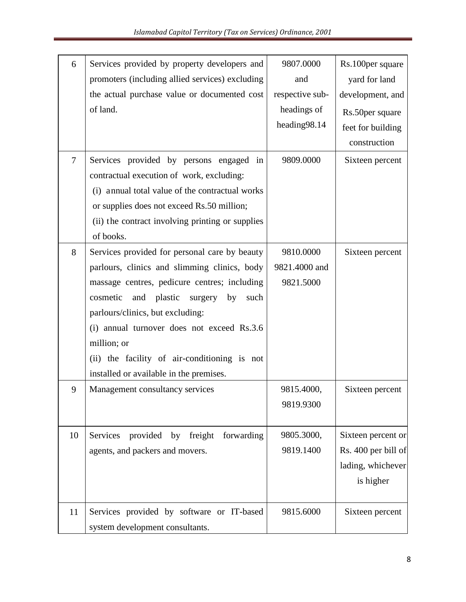| 6              | Services provided by property developers and        | 9807.0000       | Rs.100 per square   |
|----------------|-----------------------------------------------------|-----------------|---------------------|
|                | promoters (including allied services) excluding     | and             | yard for land       |
|                | the actual purchase value or documented cost        | respective sub- | development, and    |
|                | of land.                                            | headings of     | Rs.50 per square    |
|                |                                                     | heading98.14    | feet for building   |
|                |                                                     |                 | construction        |
| $\overline{7}$ | Services provided by persons engaged<br>in          | 9809.0000       | Sixteen percent     |
|                | contractual execution of work, excluding:           |                 |                     |
|                | (i) annual total value of the contractual works     |                 |                     |
|                | or supplies does not exceed Rs.50 million;          |                 |                     |
|                | (ii) the contract involving printing or supplies    |                 |                     |
|                | of books.                                           |                 |                     |
| 8              | Services provided for personal care by beauty       | 9810.0000       | Sixteen percent     |
|                | parlours, clinics and slimming clinics, body        | 9821.4000 and   |                     |
|                | massage centres, pedicure centres; including        | 9821.5000       |                     |
|                | cosmetic<br>and<br>plastic<br>by<br>surgery<br>such |                 |                     |
|                | parlours/clinics, but excluding:                    |                 |                     |
|                | (i) annual turnover does not exceed Rs.3.6          |                 |                     |
|                | million; or                                         |                 |                     |
|                | (ii) the facility of air-conditioning is not        |                 |                     |
|                | installed or available in the premises.             |                 |                     |
| 9              | Management consultancy services                     | 9815.4000,      | Sixteen percent     |
|                |                                                     | 9819.9300       |                     |
|                |                                                     |                 |                     |
| 10             | provided by freight<br>forwarding<br>Services       | 9805.3000,      | Sixteen percent or  |
|                | agents, and packers and movers.                     | 9819.1400       | Rs. 400 per bill of |
|                |                                                     |                 | lading, whichever   |
|                |                                                     |                 | is higher           |
|                |                                                     |                 |                     |
| 11             | Services provided by software or IT-based           | 9815.6000       | Sixteen percent     |
|                | system development consultants.                     |                 |                     |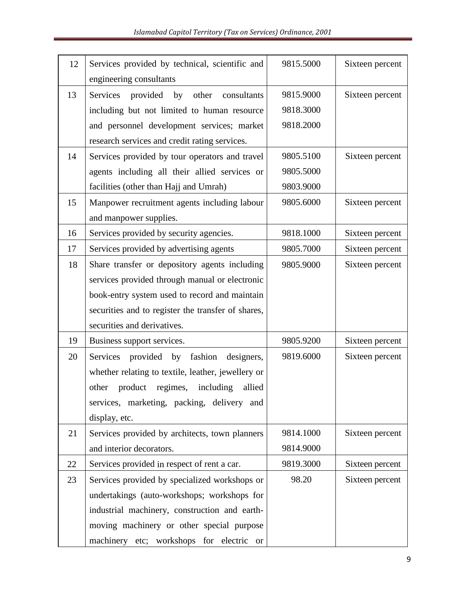| 12 | Services provided by technical, scientific and<br>engineering consultants | 9815.5000 | Sixteen percent |
|----|---------------------------------------------------------------------------|-----------|-----------------|
|    |                                                                           |           |                 |
| 13 | Services<br>provided<br>by<br>other<br>consultants                        | 9815.9000 | Sixteen percent |
|    | including but not limited to human resource                               | 9818.3000 |                 |
|    | and personnel development services; market                                | 9818.2000 |                 |
|    | research services and credit rating services.                             |           |                 |
| 14 | Services provided by tour operators and travel                            | 9805.5100 | Sixteen percent |
|    | agents including all their allied services or                             | 9805.5000 |                 |
|    | facilities (other than Hajj and Umrah)                                    | 9803.9000 |                 |
| 15 | Manpower recruitment agents including labour                              | 9805.6000 | Sixteen percent |
|    | and manpower supplies.                                                    |           |                 |
| 16 | Services provided by security agencies.                                   | 9818.1000 | Sixteen percent |
| 17 | Services provided by advertising agents                                   | 9805.7000 | Sixteen percent |
| 18 | Share transfer or depository agents including                             | 9805.9000 | Sixteen percent |
|    | services provided through manual or electronic                            |           |                 |
|    | book-entry system used to record and maintain                             |           |                 |
|    | securities and to register the transfer of shares,                        |           |                 |
|    | securities and derivatives.                                               |           |                 |
| 19 | Business support services.                                                | 9805.9200 | Sixteen percent |
| 20 | provided by fashion designers,<br>Services                                | 9819.6000 | Sixteen percent |
|    | whether relating to textile, leather, jewellery or                        |           |                 |
|    | regimes,<br>including<br>allied<br>other<br>product                       |           |                 |
|    | services, marketing, packing, delivery and                                |           |                 |
|    | display, etc.                                                             |           |                 |
| 21 | Services provided by architects, town planners                            | 9814.1000 | Sixteen percent |
|    | and interior decorators.                                                  | 9814.9000 |                 |
| 22 | Services provided in respect of rent a car.                               | 9819.3000 | Sixteen percent |
| 23 | Services provided by specialized workshops or                             | 98.20     | Sixteen percent |
|    | undertakings (auto-workshops; workshops for                               |           |                 |
|    | industrial machinery, construction and earth-                             |           |                 |
|    | moving machinery or other special purpose                                 |           |                 |
|    | machinery etc; workshops for electric or                                  |           |                 |
|    |                                                                           |           |                 |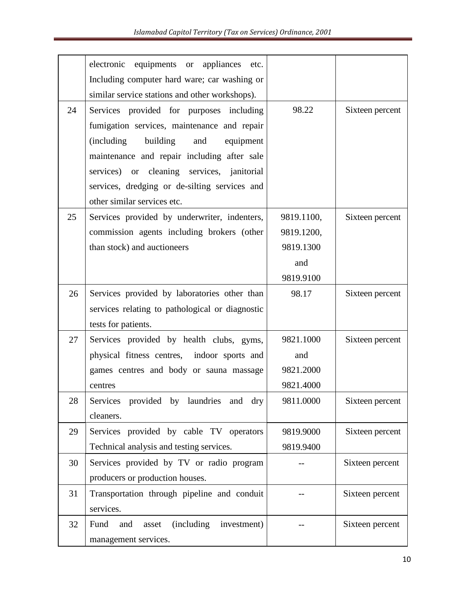|    | electronic<br>equipments or appliances etc.<br>Including computer hard ware; car washing or |            |                 |
|----|---------------------------------------------------------------------------------------------|------------|-----------------|
|    | similar service stations and other workshops).                                              |            |                 |
| 24 | Services provided for purposes including                                                    | 98.22      | Sixteen percent |
|    | fumigation services, maintenance and repair                                                 |            |                 |
|    | building<br>(including)<br>and<br>equipment                                                 |            |                 |
|    | maintenance and repair including after sale                                                 |            |                 |
|    | services) or cleaning services, janitorial                                                  |            |                 |
|    | services, dredging or de-silting services and                                               |            |                 |
|    | other similar services etc.                                                                 |            |                 |
| 25 | Services provided by underwriter, indenters,                                                | 9819.1100, | Sixteen percent |
|    | commission agents including brokers (other                                                  | 9819.1200, |                 |
|    | than stock) and auctioneers                                                                 | 9819.1300  |                 |
|    |                                                                                             | and        |                 |
|    |                                                                                             | 9819.9100  |                 |
| 26 | Services provided by laboratories other than                                                | 98.17      | Sixteen percent |
|    | services relating to pathological or diagnostic                                             |            |                 |
|    | tests for patients.                                                                         |            |                 |
| 27 | Services provided by health clubs, gyms,                                                    | 9821.1000  | Sixteen percent |
|    | physical fitness centres, indoor sports and                                                 | and        |                 |
|    | games centres and body or sauna massage                                                     | 9821.2000  |                 |
|    | centres                                                                                     | 9821.4000  |                 |
| 28 | Services provided by laundries<br>and<br>dry                                                | 9811.0000  | Sixteen percent |
|    | cleaners.                                                                                   |            |                 |
| 29 | Services provided by cable TV operators                                                     | 9819.9000  | Sixteen percent |
|    | Technical analysis and testing services.                                                    | 9819.9400  |                 |
| 30 | Services provided by TV or radio program                                                    |            | Sixteen percent |
|    | producers or production houses.                                                             |            |                 |
| 31 | Transportation through pipeline and conduit                                                 |            | Sixteen percent |
|    | services.                                                                                   |            |                 |
| 32 | (including)<br>Fund<br>investment)<br>and<br>asset                                          |            | Sixteen percent |
|    | management services.                                                                        |            |                 |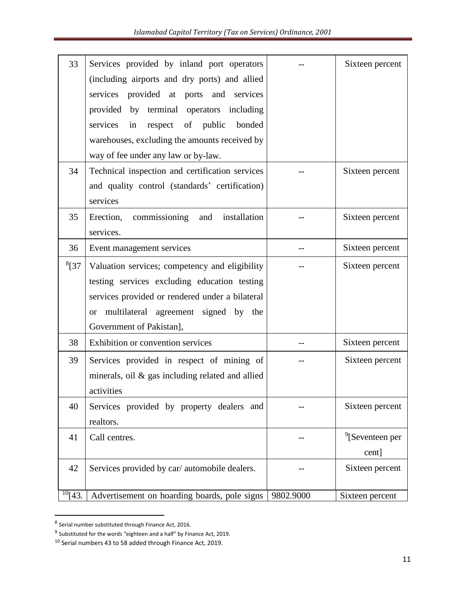| 33           | Services provided by inland port operators          |           | Sixteen percent             |
|--------------|-----------------------------------------------------|-----------|-----------------------------|
|              | (including airports and dry ports) and allied       |           |                             |
|              | provided at ports<br>services<br>and<br>services    |           |                             |
|              | by terminal operators<br>provided<br>including      |           |                             |
|              | services<br>of<br>public<br>bonded<br>in<br>respect |           |                             |
|              | warehouses, excluding the amounts received by       |           |                             |
|              | way of fee under any law or by-law.                 |           |                             |
| 34           | Technical inspection and certification services     |           | Sixteen percent             |
|              | and quality control (standards' certification)      |           |                             |
|              | services                                            |           |                             |
| 35           | Erection,<br>commissioning<br>installation<br>and   |           | Sixteen percent             |
|              | services.                                           |           |                             |
| 36           | Event management services                           |           | Sixteen percent             |
| $^{8}$ [37   | Valuation services; competency and eligibility      |           | Sixteen percent             |
|              | testing services excluding education testing        |           |                             |
|              | services provided or rendered under a bilateral     |           |                             |
|              | or multilateral agreement signed by the             |           |                             |
|              | Government of Pakistan],                            |           |                             |
| 38           | Exhibition or convention services                   |           | Sixteen percent             |
| 39           | Services provided in respect of mining of           |           | Sixteen percent             |
|              | minerals, oil $\&$ gas including related and allied |           |                             |
|              | activities                                          |           |                             |
| 40           | Services provided by property dealers and           |           | Sixteen percent             |
|              | realtors.                                           |           |                             |
| 41           | Call centres.                                       |           | $\frac{9}{5}$ Seventeen per |
|              |                                                     |           | cent]                       |
| 42           | Services provided by car/ automobile dealers.       |           | Sixteen percent             |
|              |                                                     |           |                             |
| $^{10}$ [43. | Advertisement on hoarding boards, pole signs        | 9802.9000 | Sixteen percent             |

 8 Serial number substituted through Finance Act, 2016.

<sup>&</sup>lt;sup>9</sup> Substituted for the words "eighteen and a half" by Finance Act, 2019.

<sup>10</sup> Serial numbers 43 to 58 added through Finance Act, 2019.